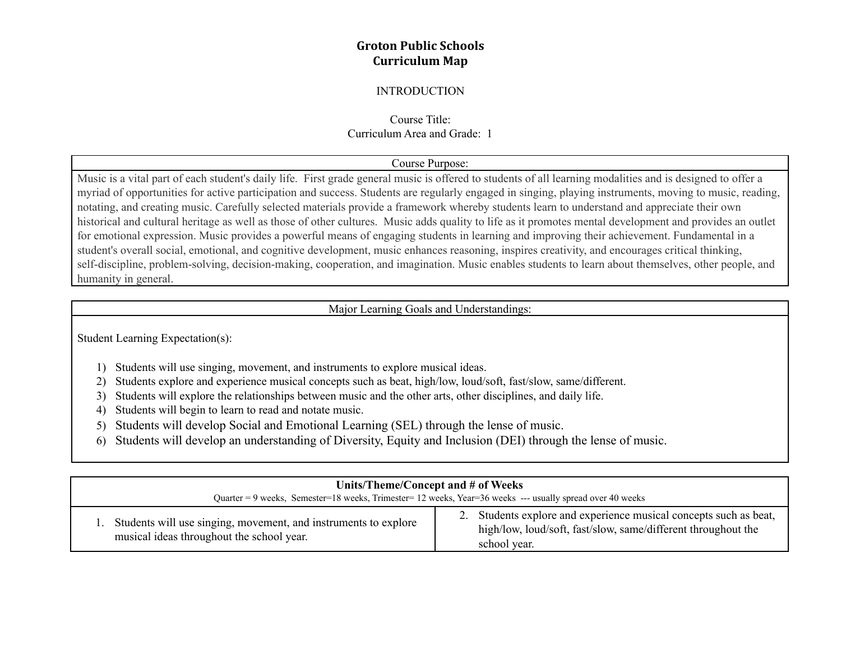# **Groton Public Schools Curriculum Map**

#### INTRODUCTION

## Course Title: Curriculum Area and Grade: 1

### Course Purpose:

Music is a vital part of each student's daily life. First grade general music is offered to students of all learning modalities and is designed to offer a myriad of opportunities for active participation and success. Students are regularly engaged in singing, playing instruments, moving to music, reading, notating, and creating music. Carefully selected materials provide a framework whereby students learn to understand and appreciate their own historical and cultural heritage as well as those of other cultures. Music adds quality to life as it promotes mental development and provides an outlet for emotional expression. Music provides a powerful means of engaging students in learning and improving their achievement. Fundamental in a student's overall social, emotional, and cognitive development, music enhances reasoning, inspires creativity, and encourages critical thinking, self-discipline, problem-solving, decision-making, cooperation, and imagination. Music enables students to learn about themselves, other people, and humanity in general.

Major Learning Goals and Understandings:

Student Learning Expectation(s):

- 1) Students will use singing, movement, and instruments to explore musical ideas.
- 2) Students explore and experience musical concepts such as beat, high/low, loud/soft, fast/slow, same/different.
- 3) Students will explore the relationships between music and the other arts, other disciplines, and daily life.
- 4) Students will begin to learn to read and notate music.
- 5) Students will develop Social and Emotional Learning (SEL) through the lense of music.
- 6) Students will develop an understanding of Diversity, Equity and Inclusion (DEI) through the lense of music.

| Units/Theme/Concept and # of Weeks                                                                           |                                                                                                                                                    |  |  |
|--------------------------------------------------------------------------------------------------------------|----------------------------------------------------------------------------------------------------------------------------------------------------|--|--|
| Quarter = 9 weeks, Semester=18 weeks, Trimester=12 weeks, Year=36 weeks --- usually spread over 40 weeks     |                                                                                                                                                    |  |  |
| Students will use singing, movement, and instruments to explore<br>musical ideas throughout the school year. | 2. Students explore and experience musical concepts such as beat,<br>high/low, loud/soft, fast/slow, same/different throughout the<br>school year. |  |  |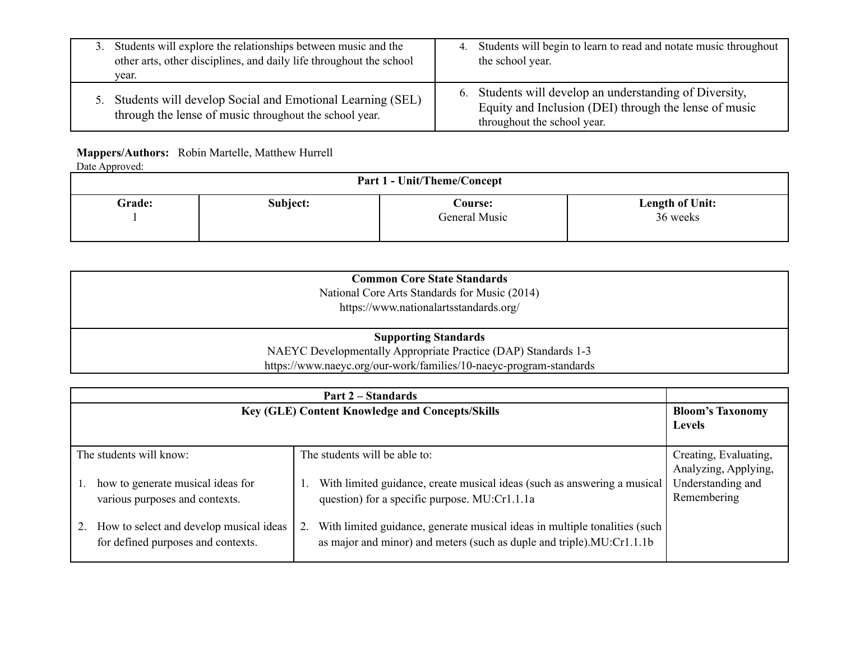| Students will explore the relationships between music and the<br>other arts, other disciplines, and daily life throughout the school<br>year. | 4. Students will begin to learn to read and notate music throughout<br>the school year.                                                         |
|-----------------------------------------------------------------------------------------------------------------------------------------------|-------------------------------------------------------------------------------------------------------------------------------------------------|
| Students will develop Social and Emotional Learning (SEL)<br>through the lense of music throughout the school year.                           | 6. Students will develop an understanding of Diversity,<br>Equity and Inclusion (DEI) through the lense of music<br>throughout the school year. |

### **Mappers/Authors:** Robin Martelle, Matthew Hurrell

Date Approved:

| <b>Part 1 - Unit/Theme/Concept</b> |          |                                 |                             |  |
|------------------------------------|----------|---------------------------------|-----------------------------|--|
| Grade:                             | Subject: | <b>Course:</b><br>General Music | Length of Unit:<br>36 weeks |  |

| <b>Common Core State Standards</b><br>National Core Arts Standards for Music (2014)<br>https://www.nationalartsstandards.org/ |  |
|-------------------------------------------------------------------------------------------------------------------------------|--|
| <b>Supporting Standards</b>                                                                                                   |  |
| NAEYC Developmentally Appropriate Practice (DAP) Standards 1-3                                                                |  |
| https://www.naeyc.org/our-work/families/10-naeyc-program-standards                                                            |  |

| Key (GLE) Content Knowledge and Concepts/Skills                               | <b>Bloom's Taxonomy</b><br><b>Levels</b>                                                                                                                  |                                               |
|-------------------------------------------------------------------------------|-----------------------------------------------------------------------------------------------------------------------------------------------------------|-----------------------------------------------|
| The students will know:                                                       | The students will be able to:                                                                                                                             | Creating, Evaluating,<br>Analyzing, Applying, |
| how to generate musical ideas for<br>various purposes and contexts.           | With limited guidance, create musical ideas (such as answering a musical<br>question) for a specific purpose. MU:Cr1.1.1a                                 | Understanding and<br>Remembering              |
| How to select and develop musical ideas<br>for defined purposes and contexts. | With limited guidance, generate musical ideas in multiple tonalities (such<br>2.<br>as major and minor) and meters (such as duple and triple).MU:Cr1.1.1b |                                               |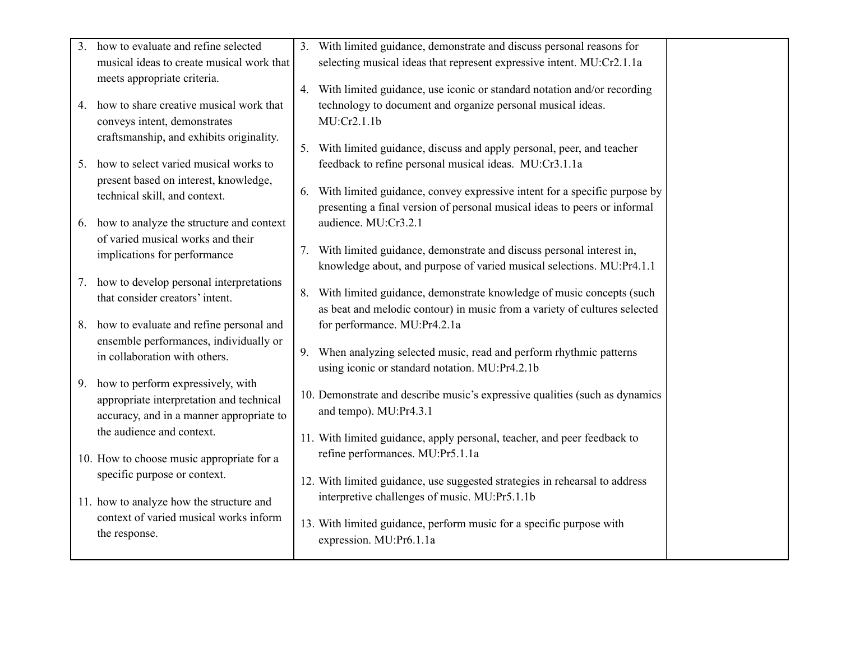|    | 3. how to evaluate and refine selected      | 3. With limited guidance, demonstrate and discuss personal reasons for       |  |
|----|---------------------------------------------|------------------------------------------------------------------------------|--|
|    | musical ideas to create musical work that   | selecting musical ideas that represent expressive intent. MU:Cr2.1.1a        |  |
|    | meets appropriate criteria.                 |                                                                              |  |
|    |                                             | 4. With limited guidance, use iconic or standard notation and/or recording   |  |
|    | 4. how to share creative musical work that  | technology to document and organize personal musical ideas.                  |  |
|    | conveys intent, demonstrates                | MU:Cr2.1.1b                                                                  |  |
|    | craftsmanship, and exhibits originality.    |                                                                              |  |
|    |                                             | 5. With limited guidance, discuss and apply personal, peer, and teacher      |  |
|    | 5. how to select varied musical works to    | feedback to refine personal musical ideas. MU:Cr3.1.1a                       |  |
|    | present based on interest, knowledge,       |                                                                              |  |
|    | technical skill, and context.               | 6. With limited guidance, convey expressive intent for a specific purpose by |  |
|    |                                             | presenting a final version of personal musical ideas to peers or informal    |  |
|    | 6. how to analyze the structure and context | audience. MU:Cr3.2.1                                                         |  |
|    | of varied musical works and their           |                                                                              |  |
|    | implications for performance                | 7. With limited guidance, demonstrate and discuss personal interest in,      |  |
|    |                                             | knowledge about, and purpose of varied musical selections. MU:Pr4.1.1        |  |
|    | 7. how to develop personal interpretations  |                                                                              |  |
|    | that consider creators' intent.             | 8. With limited guidance, demonstrate knowledge of music concepts (such      |  |
|    |                                             | as beat and melodic contour) in music from a variety of cultures selected    |  |
|    | 8. how to evaluate and refine personal and  | for performance. MU:Pr4.2.1a                                                 |  |
|    | ensemble performances, individually or      |                                                                              |  |
|    | in collaboration with others.               | 9. When analyzing selected music, read and perform rhythmic patterns         |  |
|    |                                             | using iconic or standard notation. MU:Pr4.2.1b                               |  |
| 9. | how to perform expressively, with           | 10. Demonstrate and describe music's expressive qualities (such as dynamics) |  |
|    | appropriate interpretation and technical    |                                                                              |  |
|    | accuracy, and in a manner appropriate to    | and tempo). MU:Pr4.3.1                                                       |  |
|    | the audience and context.                   | 11. With limited guidance, apply personal, teacher, and peer feedback to     |  |
|    |                                             | refine performances. MU:Pr5.1.1a                                             |  |
|    | 10. How to choose music appropriate for a   |                                                                              |  |
|    | specific purpose or context.                | 12. With limited guidance, use suggested strategies in rehearsal to address  |  |
|    |                                             | interpretive challenges of music. MU:Pr5.1.1b                                |  |
|    | 11. how to analyze how the structure and    |                                                                              |  |
|    | context of varied musical works inform      | 13. With limited guidance, perform music for a specific purpose with         |  |
|    | the response.                               | expression. MU:Pr6.1.1a                                                      |  |
|    |                                             |                                                                              |  |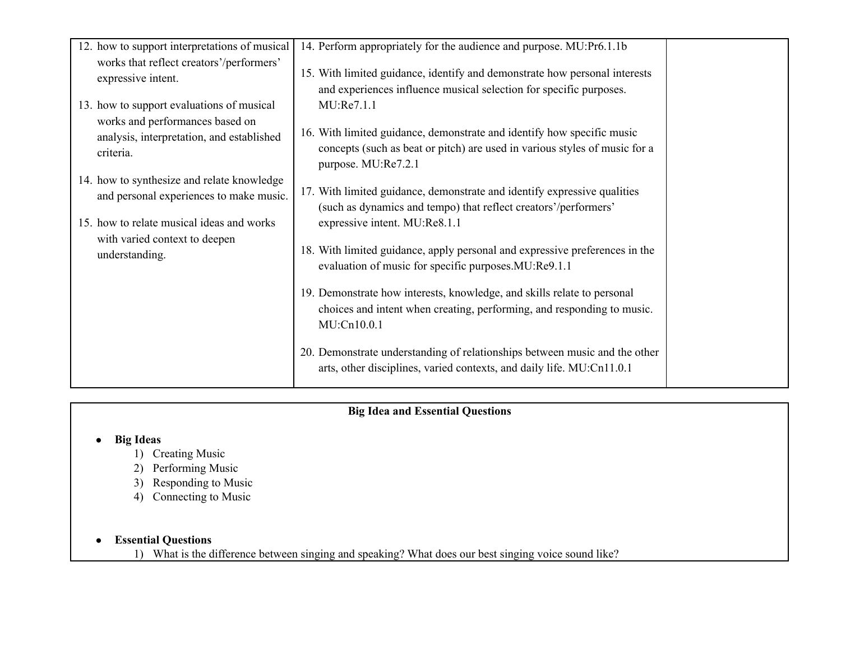| 12. how to support interpretations of musical                                                | 14. Perform appropriately for the audience and purpose. MU:Pr6.1.1b                                                                                                         |  |
|----------------------------------------------------------------------------------------------|-----------------------------------------------------------------------------------------------------------------------------------------------------------------------------|--|
| works that reflect creators'/performers'<br>expressive intent.                               | 15. With limited guidance, identify and demonstrate how personal interests<br>and experiences influence musical selection for specific purposes.                            |  |
| 13. how to support evaluations of musical                                                    | MU:Re7.1.1                                                                                                                                                                  |  |
| works and performances based on<br>analysis, interpretation, and established<br>criteria.    | 16. With limited guidance, demonstrate and identify how specific music<br>concepts (such as beat or pitch) are used in various styles of music for a<br>purpose. MU:Re7.2.1 |  |
| 14. how to synthesize and relate knowledge<br>and personal experiences to make music.        | 17. With limited guidance, demonstrate and identify expressive qualities<br>(such as dynamics and tempo) that reflect creators'/performers'                                 |  |
| 15. how to relate musical ideas and works<br>with varied context to deepen<br>understanding. | expressive intent. MU:Re8.1.1                                                                                                                                               |  |
|                                                                                              | 18. With limited guidance, apply personal and expressive preferences in the<br>evaluation of music for specific purposes. MU:Re9.1.1                                        |  |
|                                                                                              | 19. Demonstrate how interests, knowledge, and skills relate to personal<br>choices and intent when creating, performing, and responding to music.<br>MU:Cn10.0.1            |  |
|                                                                                              | 20. Demonstrate understanding of relationships between music and the other<br>arts, other disciplines, varied contexts, and daily life. MU:Cn11.0.1                         |  |

# **Big Idea and Essential Questions**

## **● Big Ideas**

- 1) Creating Music
- 2) Performing Music
- 3) Responding to Music
- 4) Connecting to Music

## **● Essential Questions**

1) What is the difference between singing and speaking? What does our best singing voice sound like?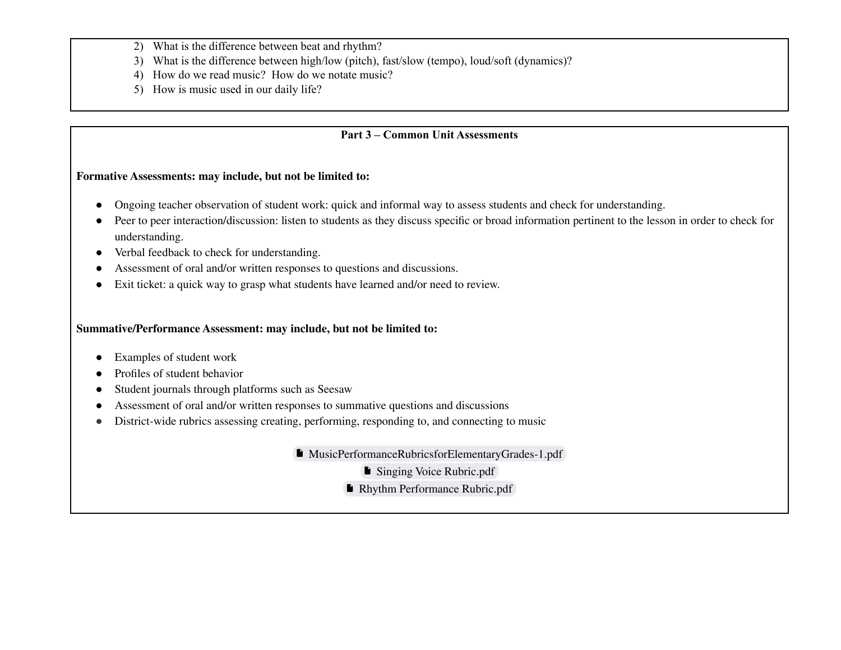- 2) What is the difference between beat and rhythm?
- 3) What is the difference between high/low (pitch), fast/slow (tempo), loud/soft (dynamics)?
- 4) How do we read music? How do we notate music?
- 5) How is music used in our daily life?

## **Part 3 – Common Unit Assessments**

#### **Formative Assessments: may include, but not be limited to:**

- Ongoing teacher observation of student work: quick and informal way to assess students and check for understanding.
- Peer to peer interaction/discussion: listen to students as they discuss specific or broad information pertinent to the lesson in order to check for understanding.
- Verbal feedback to check for understanding.
- Assessment of oral and/or written responses to questions and discussions.
- Exit ticket: a quick way to grasp what students have learned and/or need to review.

#### **Summative/Performance Assessment: may include, but not be limited to:**

- Examples of student work
- Profiles of student behavior
- Student journals through platforms such as Seesaw
- Assessment of oral and/or written responses to summative questions and discussions
- District-wide rubrics assessing creating, performing, responding to, and connecting to music

[MusicPerformanceRubricsforElementaryGrades-1.pdf](https://drive.google.com/file/d/1TGj1KHwlSPsqS69RBMJ4qjM4pr3iYaa7/view?usp=sharing)

Singing Voice [Rubric.pdf](https://drive.google.com/file/d/1rMk2HMRotm7Z1qWBhwi8A1VyLGTQaV40/view?usp=sharing)

Rhythm [Performance](https://drive.google.com/file/d/159JTzoisznw2U9nzdTa_E3D_DVf1nDQk/view?usp=sharing) Rubric.pdf